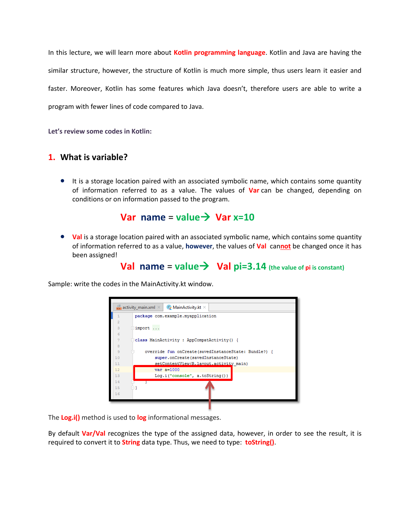In this lecture, we will learn more about **Kotlin programming language**. Kotlin and Java are having the similar structure, however, the structure of Kotlin is much more simple, thus users learn it easier and faster. Moreover, Kotlin has some features which Java doesn't, therefore users are able to write a program with fewer lines of code compared to Java.

**Let's review some codes in Kotlin:**

### **1. What is variable?**

 It is a storage location paired with an associated symbolic name, which contains some quantity of information referred to as a value. The values of **Var** can be changed, depending on conditions or on information passed to the program.

## **Var** name =  $value \rightarrow \text{Var } x=10$

**• Val** is a storage location paired with an associated symbolic name, which contains some quantity of information referred to as a value, **however**, the values of **Val** can**not** be changed once it has been assigned!

# **Val**  $name = value \rightarrow Val pi=3.14$  (the value of pi is constant)

Sample: write the codes in the MainActivity.kt window.



The **Log.i()** method is used to **log** informational messages.

By default **Var/Val** recognizes the type of the assigned data, however, in order to see the result, it is required to convert it to **String** data type. Thus, we need to type: **toString()**.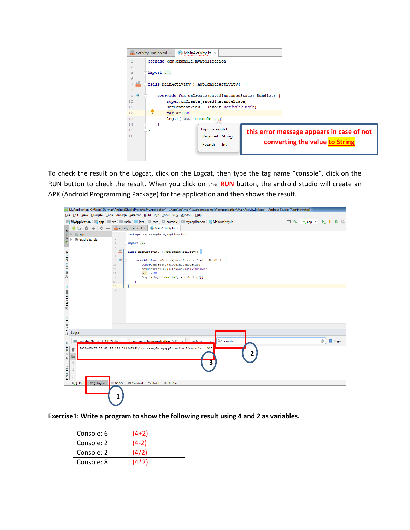

To check the result on the Logcat, click on the Logcat, then type the tag name "console", click on the RUN button to check the result. When you click on the **RUN** button, the android studio will create an APK (Android Programming Package) for the application and then shows the result.



**Exercise1: Write a program to show the following result using 4 and 2 as variables.** 

| Console: 6 | $(4+2)$ |
|------------|---------|
| Console: 2 | $(4-2)$ |
| Console: 2 | (4/2)   |
| Console: 8 | $(4*2)$ |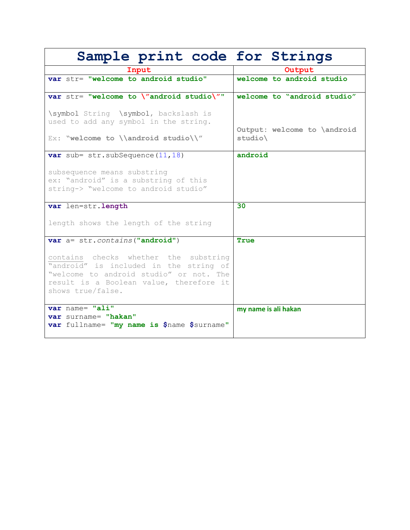| Sample print code for Strings                                                                                                                                                              |                                          |
|--------------------------------------------------------------------------------------------------------------------------------------------------------------------------------------------|------------------------------------------|
| Input                                                                                                                                                                                      | Output                                   |
| var str= "welcome to android studio"                                                                                                                                                       | welcome to android studio                |
| var str= "welcome to \"android studio\""                                                                                                                                                   | welcome to "android studio"              |
| \symbol String \symbol, backslash is<br>used to add any symbol in the string.<br>Ex: "welcome to \\android studio\\"                                                                       | Output: welcome to \android<br>$studio\$ |
| var sub= $str.subSequence(11, 18)$                                                                                                                                                         | android                                  |
| subsequence means substring<br>ex: "android" is a substring of this<br>string-> "welcome to android studio"                                                                                |                                          |
| var len=str.length                                                                                                                                                                         | 30                                       |
| length shows the length of the string                                                                                                                                                      |                                          |
| var a= str. contains ("android")                                                                                                                                                           | True                                     |
| contains checks whether the substring<br>"android" is included in the string of<br>"welcome to android studio" or not. The<br>result is a Boolean value, therefore it<br>shows true/false. |                                          |
| var name= "ali"                                                                                                                                                                            | my name is ali hakan                     |
| var surname= "hakan"<br>var fullname= "my name is \$name \$surname"                                                                                                                        |                                          |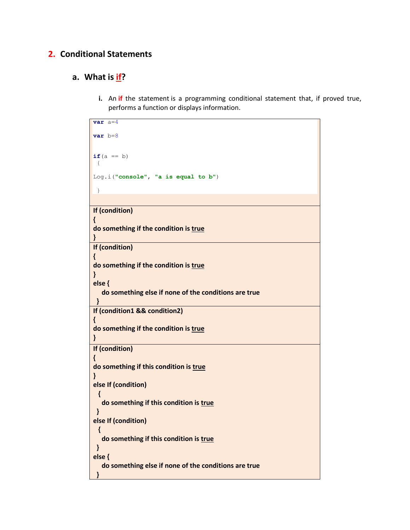## **2. Conditional Statements**

## **a. What is if?**

**i.** An **if** the statement is a programming conditional statement that, if proved true, performs a function or displays information.

| $var$ a $=4$                                         |
|------------------------------------------------------|
|                                                      |
| $var$ $b=8$                                          |
|                                                      |
|                                                      |
| $if(a == b)$                                         |
|                                                      |
| $\mathbf{f}$                                         |
|                                                      |
| Log.i("console", "a is equal to b")                  |
|                                                      |
| }                                                    |
|                                                      |
| If (condition)                                       |
|                                                      |
|                                                      |
| do something if the condition is true                |
|                                                      |
| ł                                                    |
| If (condition)                                       |
|                                                      |
| Ł                                                    |
| do something if the condition is true                |
| ł                                                    |
|                                                      |
| else {                                               |
| do something else if none of the conditions are true |
| ł                                                    |
|                                                      |
| If (condition1 && condition2)                        |
| ł.                                                   |
| do something if the condition is true                |
|                                                      |
| }                                                    |
|                                                      |
| If (condition)                                       |
| 1                                                    |
| do something if this condition is true               |
|                                                      |
|                                                      |
| else If (condition)                                  |
|                                                      |
|                                                      |
| do something if this condition is true               |
| }                                                    |
|                                                      |
| else If (condition)                                  |
| ₹                                                    |
| do something if this condition is true               |
|                                                      |
|                                                      |
| else {                                               |
| do something else if none of the conditions are true |
|                                                      |
|                                                      |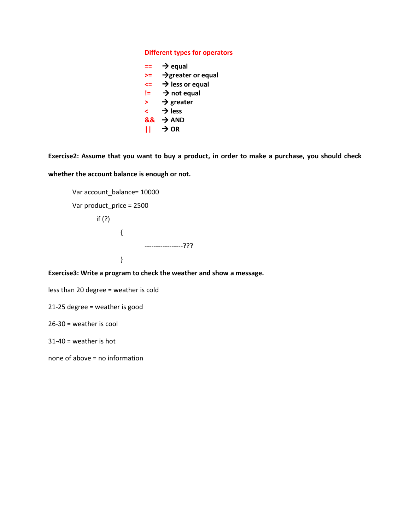#### **Different types for operators**

|    | $\rightarrow$ equal            |
|----|--------------------------------|
| >= | $\rightarrow$ greater or equal |
| <= | $\rightarrow$ less or equal    |
| l= | $\rightarrow$ not equal        |
| >  | $\rightarrow$ greater          |
| ≺  | $\rightarrow$ less             |
| && | $\rightarrow$ AND              |
| ш  | $\rightarrow$ OR               |
|    |                                |

**Exercise2: Assume that you want to buy a product, in order to make a purchase, you should check whether the account balance is enough or not.**

```
Var account_balance= 10000
Var product_price = 2500
       if (?)
               {
                        -----------------???
                }
```
**Exercise3: Write a program to check the weather and show a message.**

less than 20 degree = weather is cold

21-25 degree = weather is good

26-30 = weather is cool

31-40 = weather is hot

none of above = no information